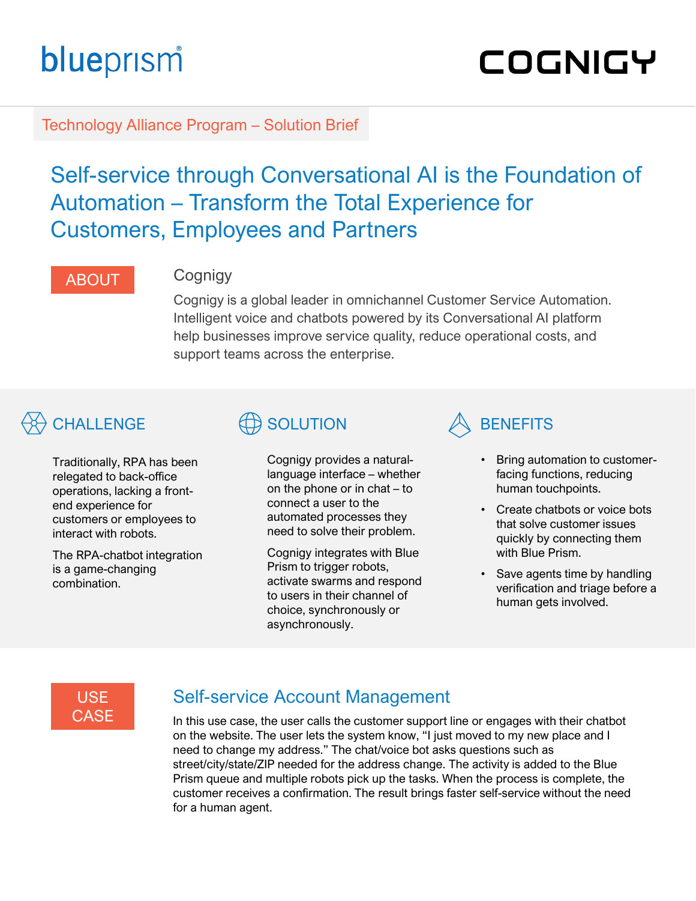# blueprism

# COGNIGY

Technology Alliance Program – Solution Brief

## Self-service through Conversational AI is the Foundation of Automation – Transform the Total Experience for Customers, Employees and Partners

### ABOUT Cognigy

Cognigy is a global leader in omnichannel Customer Service Automation. Intelligent voice and chatbots powered by its Conversational AI platform help businesses improve service quality, reduce operational costs, and support teams across the enterprise.

# $\bigotimes$  challenge  $\bigoplus$  solution  $\bigotimes$  benefits

Traditionally, RPA has been relegated to back-office operations, lacking a frontend experience for customers or employees to interact with robots.

The RPA-chatbot integration is a game-changing combination.

Cognigy provides a naturallanguage interface – whether on the phone or in chat – to connect a user to the automated processes they need to solve their problem.

Cognigy integrates with Blue Prism to trigger robots, activate swarms and respond to users in their channel of choice, synchronously or asynchronously.



- Bring automation to customerfacing functions, reducing human touchpoints.
- Create chatbots or voice bots that solve customer issues quickly by connecting them with Blue Prism.
- Save agents time by handling verification and triage before a human gets involved.

### USE **CASE**

## Self-service Account Management

In this use case, the user calls the customer support line or engages with their chatbot on the website. The user lets the system know, "I just moved to my new place and I need to change my address." The chat/voice bot asks questions such as street/city/state/ZIP needed for the address change. The activity is added to the Blue Prism queue and multiple robots pick up the tasks. When the process is complete, the customer receives a confirmation. The result brings faster self-service without the need for a human agent.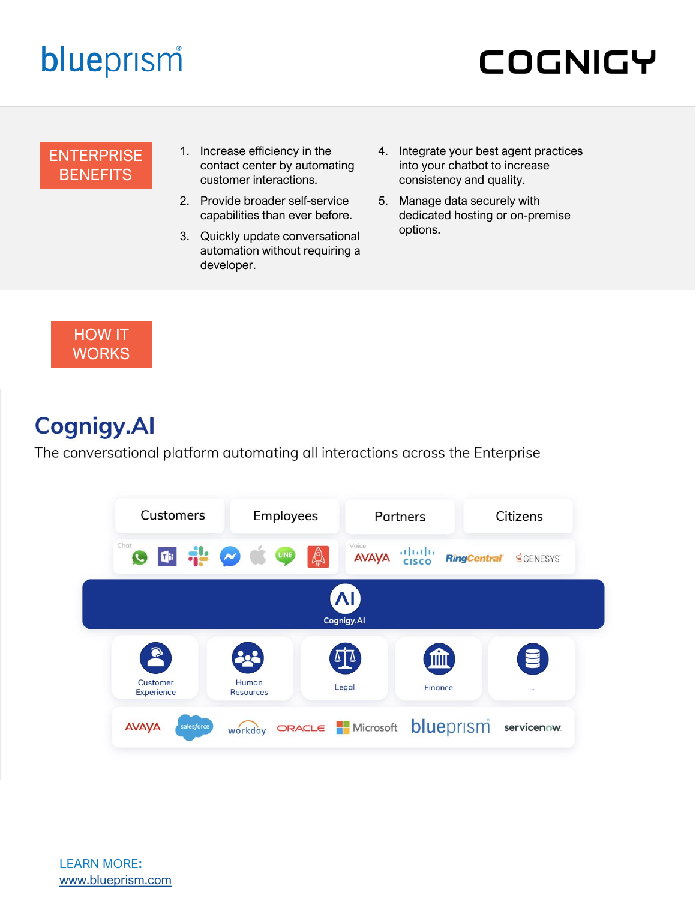# blueprism

# **COGNIGY**

#### **ENTERPRISE BENEFITS**

- 1. Increase efficiency in the contact center by automating customer interactions.
- 2. Provide broader self-service capabilities than ever before.
- 3. Quickly update conversational automation without requiring a developer.
- 4. Integrate your best agent practices into your chatbot to increase consistency and quality.
- 5. Manage data securely with dedicated hosting or on-premise options.



# **Cognigy.Al**

The conversational platform automating all interactions across the Enterprise